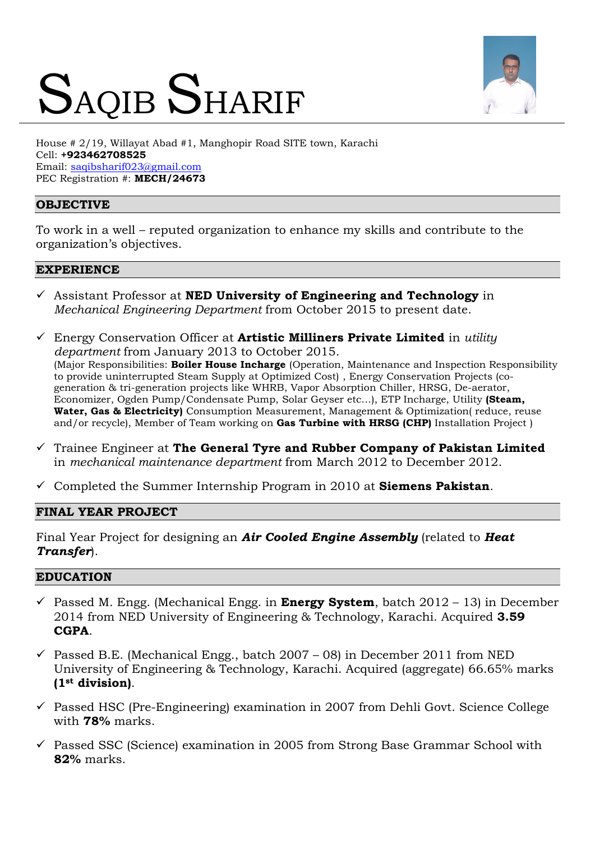# SAQIB SHARIF



House # 2/19, Willayat Abad #1, Manghopir Road SITE town, Karachi Cell: **+923462708525** Email: [saqibsharif023@gmail.com](mailto:saqibsharif023@gmail.com) PEC Registration #: **MECH/24673**

# **OBJECTIVE**

To work in a well – reputed organization to enhance my skills and contribute to the organization's objectives.

#### **EXPERIENCE**

- Assistant Professor at **NED University of Engineering and Technology** in *Mechanical Engineering Department* from October 2015 to present date.
- Energy Conservation Officer at **[Artistic Milliners Private Limited](http://www.facebook.com/GeneralTyre)** in *utility department* from January 2013 to October 2015. (Major Responsibilities: **Boiler House Incharge** (Operation, Maintenance and Inspection Responsibility to provide uninterrupted Steam Supply at Optimized Cost) , Energy Conservation Projects (cogeneration & tri-generation projects like WHRB, Vapor Absorption Chiller, HRSG, De-aerator, Economizer, Ogden Pump/Condensate Pump, Solar Geyser etc…), ETP Incharge, Utility **(Steam, Water, Gas & Electricity)** Consumption Measurement, Management & Optimization( reduce, reuse and/or recycle), Member of Team working on **Gas Turbine with HRSG (CHP)** Installation Project )
- Trainee Engineer at **[The General Tyre and Rubber Company of Pakistan Limited](http://www.facebook.com/GeneralTyre)** in *mechanical maintenance department* from March 2012 to December 2012.
- Completed the Summer Internship Program in 2010 at **Siemens Pakistan**.

# **FINAL YEAR PROJECT**

Final Year Project for designing an *Air Cooled Engine Assembly* (related to *Heat Transfer*).

# **EDUCATION**

- $\checkmark$  Passed M. Engg. (Mechanical Engg. in **Energy System**, batch 2012 13) in December 2014 from NED University of Engineering & Technology, Karachi. Acquired **3.59 CGPA**.
- $\checkmark$  Passed B.E. (Mechanical Engg., batch 2007 08) in December 2011 from NED University of Engineering & Technology, Karachi. Acquired (aggregate) 66.65% marks **(1st division)**.
- $\checkmark$  Passed HSC (Pre-Engineering) examination in 2007 from Dehli Govt. Science College with **78%** marks.
- $\checkmark$  Passed SSC (Science) examination in 2005 from Strong Base Grammar School with **82%** marks.